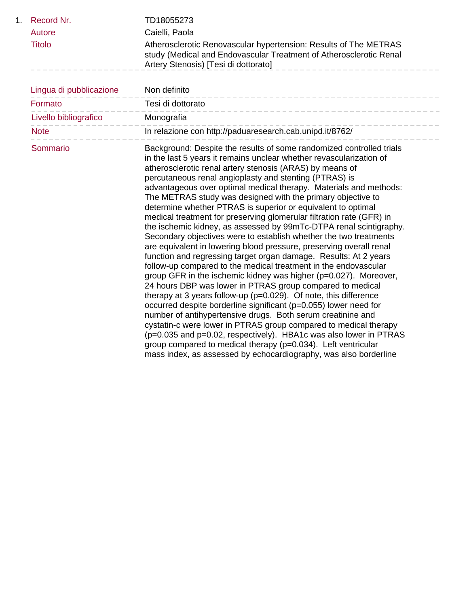| 1. | Record Nr.<br>Autore<br><b>Titolo</b> | TD18055273<br>Caielli, Paola<br>Atherosclerotic Renovascular hypertension: Results of The METRAS<br>study (Medical and Endovascular Treatment of Atherosclerotic Renal<br>Artery Stenosis) [Tesi di dottorato]                                                                                                                                                                                                                                                                                                                                                                                                                                                                                                                                                                                                                                                                                                                                                                                                                                                                                                                                                                                                                                                                                                                                                                                                                                                                                                                   |
|----|---------------------------------------|----------------------------------------------------------------------------------------------------------------------------------------------------------------------------------------------------------------------------------------------------------------------------------------------------------------------------------------------------------------------------------------------------------------------------------------------------------------------------------------------------------------------------------------------------------------------------------------------------------------------------------------------------------------------------------------------------------------------------------------------------------------------------------------------------------------------------------------------------------------------------------------------------------------------------------------------------------------------------------------------------------------------------------------------------------------------------------------------------------------------------------------------------------------------------------------------------------------------------------------------------------------------------------------------------------------------------------------------------------------------------------------------------------------------------------------------------------------------------------------------------------------------------------|
|    | Lingua di pubblicazione               | Non definito                                                                                                                                                                                                                                                                                                                                                                                                                                                                                                                                                                                                                                                                                                                                                                                                                                                                                                                                                                                                                                                                                                                                                                                                                                                                                                                                                                                                                                                                                                                     |
|    | Formato                               | Tesi di dottorato                                                                                                                                                                                                                                                                                                                                                                                                                                                                                                                                                                                                                                                                                                                                                                                                                                                                                                                                                                                                                                                                                                                                                                                                                                                                                                                                                                                                                                                                                                                |
|    | Livello bibliografico                 | Monografia                                                                                                                                                                                                                                                                                                                                                                                                                                                                                                                                                                                                                                                                                                                                                                                                                                                                                                                                                                                                                                                                                                                                                                                                                                                                                                                                                                                                                                                                                                                       |
|    | <b>Note</b>                           | In relazione con http://paduaresearch.cab.unipd.it/8762/                                                                                                                                                                                                                                                                                                                                                                                                                                                                                                                                                                                                                                                                                                                                                                                                                                                                                                                                                                                                                                                                                                                                                                                                                                                                                                                                                                                                                                                                         |
|    | Sommario                              | Background: Despite the results of some randomized controlled trials<br>in the last 5 years it remains unclear whether revascularization of<br>atherosclerotic renal artery stenosis (ARAS) by means of<br>percutaneous renal angioplasty and stenting (PTRAS) is<br>advantageous over optimal medical therapy. Materials and methods:<br>The METRAS study was designed with the primary objective to<br>determine whether PTRAS is superior or equivalent to optimal<br>medical treatment for preserving glomerular filtration rate (GFR) in<br>the ischemic kidney, as assessed by 99mTc-DTPA renal scintigraphy.<br>Secondary objectives were to establish whether the two treatments<br>are equivalent in lowering blood pressure, preserving overall renal<br>function and regressing target organ damage. Results: At 2 years<br>follow-up compared to the medical treatment in the endovascular<br>group GFR in the ischemic kidney was higher (p=0.027). Moreover,<br>24 hours DBP was lower in PTRAS group compared to medical<br>therapy at 3 years follow-up ( $p=0.029$ ). Of note, this difference<br>occurred despite borderline significant (p=0.055) lower need for<br>number of antihypertensive drugs. Both serum creatinine and<br>cystatin-c were lower in PTRAS group compared to medical therapy<br>(p=0.035 and p=0.02, respectively). HBA1c was also lower in PTRAS<br>group compared to medical therapy (p=0.034). Left ventricular<br>mass index, as assessed by echocardiography, was also borderline |